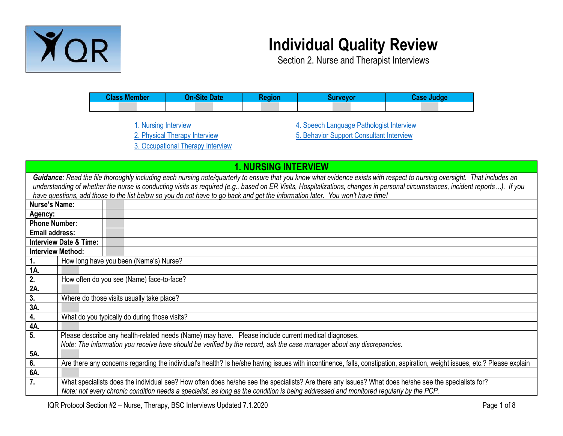

## **Individual Quality Review**

Section 2. Nurse and Therapist Interviews

| <b>Class Member</b> | <b>ALL BUA</b> | $\sqrt{q}$ and $\sqrt{q}$ | <b>IIN/AVOY</b> | <b>SECORD</b> |  |
|---------------------|----------------|---------------------------|-----------------|---------------|--|
|                     |                |                           |                 |               |  |

[1. Nursing Interview](#page-0-0) [2. Physical Therapy Interview](#page-1-0) [3. Occupational Therapy Interview](#page-3-0) [4. Speech Language Pathologist Interview](#page-4-0) [5. Behavior Support Consultant Interview](#page-6-0)

<span id="page-0-0"></span>

|                       | <b>1. NURSING INTERVIEW</b>                                                                                                                                                                                                                                                                                                                                                                                                                                                                 |                                                                                                                                                                                                                                                                                               |  |
|-----------------------|---------------------------------------------------------------------------------------------------------------------------------------------------------------------------------------------------------------------------------------------------------------------------------------------------------------------------------------------------------------------------------------------------------------------------------------------------------------------------------------------|-----------------------------------------------------------------------------------------------------------------------------------------------------------------------------------------------------------------------------------------------------------------------------------------------|--|
|                       | Guidance: Read the file thoroughly including each nursing note/quarterly to ensure that you know what evidence exists with respect to nursing oversight. That includes an<br>understanding of whether the nurse is conducting visits as required (e.g., based on ER Visits, Hospitalizations, changes in personal circumstances, incident reports). If you<br>have questions, add those to the list below so you do not have to go back and get the information later. You won't have time! |                                                                                                                                                                                                                                                                                               |  |
| <b>Nurse's Name:</b>  |                                                                                                                                                                                                                                                                                                                                                                                                                                                                                             |                                                                                                                                                                                                                                                                                               |  |
| Agency:               |                                                                                                                                                                                                                                                                                                                                                                                                                                                                                             |                                                                                                                                                                                                                                                                                               |  |
| <b>Phone Number:</b>  |                                                                                                                                                                                                                                                                                                                                                                                                                                                                                             |                                                                                                                                                                                                                                                                                               |  |
| <b>Email address:</b> |                                                                                                                                                                                                                                                                                                                                                                                                                                                                                             |                                                                                                                                                                                                                                                                                               |  |
|                       | <b>Interview Date &amp; Time:</b>                                                                                                                                                                                                                                                                                                                                                                                                                                                           |                                                                                                                                                                                                                                                                                               |  |
|                       | <b>Interview Method:</b>                                                                                                                                                                                                                                                                                                                                                                                                                                                                    |                                                                                                                                                                                                                                                                                               |  |
| 1.                    |                                                                                                                                                                                                                                                                                                                                                                                                                                                                                             | How long have you been (Name's) Nurse?                                                                                                                                                                                                                                                        |  |
| 1A.                   |                                                                                                                                                                                                                                                                                                                                                                                                                                                                                             |                                                                                                                                                                                                                                                                                               |  |
| 2.                    |                                                                                                                                                                                                                                                                                                                                                                                                                                                                                             | How often do you see (Name) face-to-face?                                                                                                                                                                                                                                                     |  |
| 2A.                   |                                                                                                                                                                                                                                                                                                                                                                                                                                                                                             |                                                                                                                                                                                                                                                                                               |  |
| 3.                    | Where do those visits usually take place?                                                                                                                                                                                                                                                                                                                                                                                                                                                   |                                                                                                                                                                                                                                                                                               |  |
| 3A.                   |                                                                                                                                                                                                                                                                                                                                                                                                                                                                                             |                                                                                                                                                                                                                                                                                               |  |
| 4.                    | What do you typically do during those visits?                                                                                                                                                                                                                                                                                                                                                                                                                                               |                                                                                                                                                                                                                                                                                               |  |
| 4A.                   |                                                                                                                                                                                                                                                                                                                                                                                                                                                                                             |                                                                                                                                                                                                                                                                                               |  |
| 5.                    |                                                                                                                                                                                                                                                                                                                                                                                                                                                                                             | Please describe any health-related needs (Name) may have. Please include current medical diagnoses.                                                                                                                                                                                           |  |
|                       |                                                                                                                                                                                                                                                                                                                                                                                                                                                                                             | Note: The information you receive here should be verified by the record, ask the case manager about any discrepancies.                                                                                                                                                                        |  |
| 5A.                   |                                                                                                                                                                                                                                                                                                                                                                                                                                                                                             |                                                                                                                                                                                                                                                                                               |  |
| 6.                    |                                                                                                                                                                                                                                                                                                                                                                                                                                                                                             | Are there any concerns regarding the individual's health? Is he/she having issues with incontinence, falls, constipation, aspiration, weight issues, etc.? Please explain                                                                                                                     |  |
| 6A.                   |                                                                                                                                                                                                                                                                                                                                                                                                                                                                                             |                                                                                                                                                                                                                                                                                               |  |
| 7.                    |                                                                                                                                                                                                                                                                                                                                                                                                                                                                                             | What specialists does the individual see? How often does he/she see the specialists? Are there any issues? What does he/she see the specialists for?<br>Note: not every chronic condition needs a specialist, as long as the condition is being addressed and monitored regularly by the PCP. |  |

IQR Protocol Section #2 – Nurse, Therapy, BSC Interviews Updated 7.1.2020 Page 1 of 8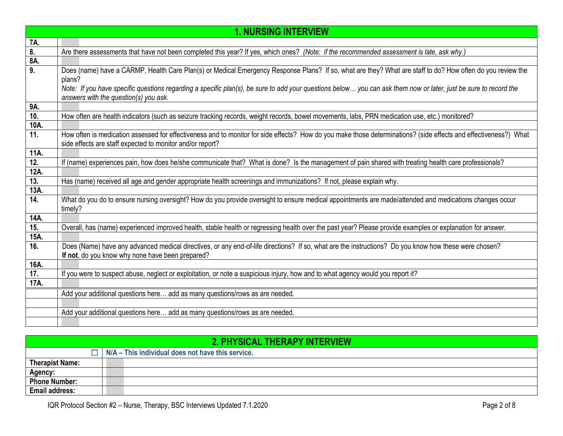|      | <b>1. NURSING INTERVIEW</b>                                                                                                                                      |
|------|------------------------------------------------------------------------------------------------------------------------------------------------------------------|
| 7A.  |                                                                                                                                                                  |
| 8.   | Are there assessments that have not been completed this year? If yes, which ones? (Note: if the recommended assessment is late, ask why.)                        |
| 8A.  |                                                                                                                                                                  |
| 9.   | Does (name) have a CARMP, Health Care Plan(s) or Medical Emergency Response Plans? If so, what are they? What are staff to do? How often do you review the       |
|      | plans?                                                                                                                                                           |
|      | Note: If you have specific questions regarding a specific plan(s), be sure to add your questions below you can ask them now or later, just be sure to record the |
|      | answers with the question(s) you ask.                                                                                                                            |
| 9A.  |                                                                                                                                                                  |
| 10.  | How often are health indicators (such as seizure tracking records, weight records, bowel movements, labs, PRN medication use, etc.) monitored?                   |
| 10A. |                                                                                                                                                                  |
| 11.  | How often is medication assessed for effectiveness and to monitor for side effects? How do you make those determinations? (side effects and effectiveness?) What |
|      | side effects are staff expected to monitor and/or report?                                                                                                        |
| 11A. |                                                                                                                                                                  |
| 12.  | If (name) experiences pain, how does he/she communicate that? What is done? Is the management of pain shared with treating health care professionals?            |
| 12A. |                                                                                                                                                                  |
| 13.  | Has (name) received all age and gender appropriate health screenings and immunizations? If not, please explain why.                                              |
| 13A. |                                                                                                                                                                  |
| 14.  | What do you do to ensure nursing oversight? How do you provide oversight to ensure medical appointments are made/attended and medications changes occur          |
|      | timely?                                                                                                                                                          |
| 14A. |                                                                                                                                                                  |
| 15.  | Overall, has (name) experienced improved health, stable health or regressing health over the past year? Please provide examples or explanation for answer.       |
| 15A. |                                                                                                                                                                  |
| 16.  | Does (Name) have any advanced medical directives, or any end-of-life directions? If so, what are the instructions? Do you know how these were chosen?            |
|      | If not, do you know why none have been prepared?                                                                                                                 |
| 16A. |                                                                                                                                                                  |
| 17.  | If you were to suspect abuse, neglect or exploitation, or note a suspicious injury, how and to what agency would you report it?                                  |
| 17A. |                                                                                                                                                                  |
|      | Add your additional questions here add as many questions/rows as are needed.                                                                                     |
|      |                                                                                                                                                                  |
|      | Add your additional questions here add as many questions/rows as are needed.                                                                                     |
|      |                                                                                                                                                                  |

<span id="page-1-0"></span>

| <b>2. PHYSICAL THERAPY INTERVIEW</b> |  |                                                   |
|--------------------------------------|--|---------------------------------------------------|
|                                      |  | N/A – This individual does not have this service. |
| <b>Therapist Name:</b>               |  |                                                   |
| <b>Agency:</b>                       |  |                                                   |
| <b>Phone Number:</b>                 |  |                                                   |
| <b>Email address:</b>                |  |                                                   |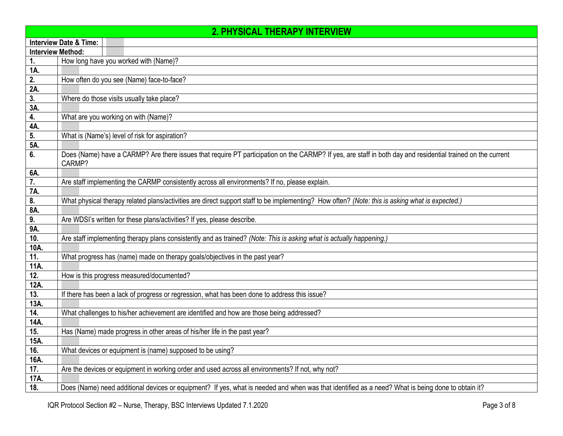| <b>2. PHYSICAL THERAPY INTERVIEW</b> |        |                                                                                                                                                             |
|--------------------------------------|--------|-------------------------------------------------------------------------------------------------------------------------------------------------------------|
| <b>Interview Date &amp; Time:</b>    |        |                                                                                                                                                             |
| <b>Interview Method:</b>             |        |                                                                                                                                                             |
| 1.                                   |        | How long have you worked with (Name)?                                                                                                                       |
| 1A.                                  |        |                                                                                                                                                             |
| 2.                                   |        | How often do you see (Name) face-to-face?                                                                                                                   |
| 2A.                                  |        |                                                                                                                                                             |
| $\overline{3}$ .                     |        | Where do those visits usually take place?                                                                                                                   |
| 3A.                                  |        |                                                                                                                                                             |
| 4.                                   |        | What are you working on with (Name)?                                                                                                                        |
| 4A.                                  |        |                                                                                                                                                             |
| 5.                                   |        | What is (Name's) level of risk for aspiration?                                                                                                              |
| 5A.                                  |        |                                                                                                                                                             |
| 6.                                   | CARMP? | Does (Name) have a CARMP? Are there issues that require PT participation on the CARMP? If yes, are staff in both day and residential trained on the current |
| 6A.                                  |        |                                                                                                                                                             |
| $\overline{7}$ .                     |        | Are staff implementing the CARMP consistently across all environments? If no, please explain.                                                               |
| 7A.                                  |        |                                                                                                                                                             |
| 8.                                   |        | What physical therapy related plans/activities are direct support staff to be implementing? How often? (Note: this is asking what is expected.)             |
| 8A.                                  |        |                                                                                                                                                             |
| 9.                                   |        | Are WDSI's written for these plans/activities? If yes, please describe.                                                                                     |
| 9A.                                  |        |                                                                                                                                                             |
| 10.                                  |        | Are staff implementing therapy plans consistently and as trained? (Note: This is asking what is actually happening.)                                        |
| 10A.                                 |        |                                                                                                                                                             |
| 11.                                  |        | What progress has (name) made on therapy goals/objectives in the past year?                                                                                 |
| 11A.                                 |        |                                                                                                                                                             |
| 12.                                  |        | How is this progress measured/documented?                                                                                                                   |
| 12A.                                 |        |                                                                                                                                                             |
| 13.                                  |        | If there has been a lack of progress or regression, what has been done to address this issue?                                                               |
| 13A.                                 |        |                                                                                                                                                             |
| 14.                                  |        | What challenges to his/her achievement are identified and how are those being addressed?                                                                    |
| 14A.                                 |        |                                                                                                                                                             |
| 15.                                  |        | Has (Name) made progress in other areas of his/her life in the past year?                                                                                   |
| 15A.                                 |        |                                                                                                                                                             |
| 16.                                  |        | What devices or equipment is (name) supposed to be using?                                                                                                   |
| 16A.                                 |        |                                                                                                                                                             |
| 17.                                  |        | Are the devices or equipment in working order and used across all environments? If not, why not?                                                            |
| 17A.                                 |        |                                                                                                                                                             |
| 18.                                  |        | Does (Name) need additional devices or equipment? If yes, what is needed and when was that identified as a need? What is being done to obtain it?           |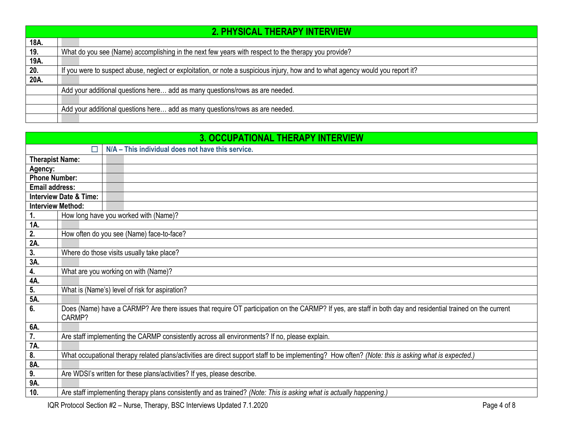|      | 2. PHYSICAL THERAPY INTERVIEW                                                                                                   |  |  |
|------|---------------------------------------------------------------------------------------------------------------------------------|--|--|
| 18A. |                                                                                                                                 |  |  |
| 19.  | What do you see (Name) accomplishing in the next few years with respect to the therapy you provide?                             |  |  |
| 19A. |                                                                                                                                 |  |  |
| 20.  | If you were to suspect abuse, neglect or exploitation, or note a suspicious injury, how and to what agency would you report it? |  |  |
| 20A. |                                                                                                                                 |  |  |
|      | Add your additional questions here add as many questions/rows as are needed.                                                    |  |  |
|      |                                                                                                                                 |  |  |
|      | Add your additional questions here add as many questions/rows as are needed.                                                    |  |  |
|      |                                                                                                                                 |  |  |

<span id="page-3-0"></span>

| <b>3. OCCUPATIONAL THERAPY INTERVIEW</b> |                                                                         |                                                                                                                                                             |  |
|------------------------------------------|-------------------------------------------------------------------------|-------------------------------------------------------------------------------------------------------------------------------------------------------------|--|
|                                          |                                                                         | N/A - This individual does not have this service.                                                                                                           |  |
| <b>Therapist Name:</b>                   |                                                                         |                                                                                                                                                             |  |
| Agency:                                  |                                                                         |                                                                                                                                                             |  |
| <b>Phone Number:</b>                     |                                                                         |                                                                                                                                                             |  |
| <b>Email address:</b>                    |                                                                         |                                                                                                                                                             |  |
|                                          | <b>Interview Date &amp; Time:</b>                                       |                                                                                                                                                             |  |
|                                          | <b>Interview Method:</b>                                                |                                                                                                                                                             |  |
| 1.                                       |                                                                         | How long have you worked with (Name)?                                                                                                                       |  |
| 1A.                                      |                                                                         |                                                                                                                                                             |  |
| 2.                                       |                                                                         | How often do you see (Name) face-to-face?                                                                                                                   |  |
| 2A.                                      |                                                                         |                                                                                                                                                             |  |
| 3.                                       |                                                                         | Where do those visits usually take place?                                                                                                                   |  |
| 3A.                                      |                                                                         |                                                                                                                                                             |  |
| 4.                                       |                                                                         | What are you working on with (Name)?                                                                                                                        |  |
| 4A.                                      |                                                                         |                                                                                                                                                             |  |
| 5.                                       |                                                                         | What is (Name's) level of risk for aspiration?                                                                                                              |  |
| 5A.                                      |                                                                         |                                                                                                                                                             |  |
| 6.                                       | CARMP?                                                                  | Does (Name) have a CARMP? Are there issues that require OT participation on the CARMP? If yes, are staff in both day and residential trained on the current |  |
| 6A.                                      |                                                                         |                                                                                                                                                             |  |
| 7.                                       |                                                                         | Are staff implementing the CARMP consistently across all environments? If no, please explain.                                                               |  |
| 7A.                                      |                                                                         |                                                                                                                                                             |  |
| 8.                                       |                                                                         | What occupational therapy related plans/activities are direct support staff to be implementing? How often? (Note: this is asking what is expected.)         |  |
| 8A.                                      |                                                                         |                                                                                                                                                             |  |
| 9.                                       | Are WDSI's written for these plans/activities? If yes, please describe. |                                                                                                                                                             |  |
| 9A.                                      |                                                                         |                                                                                                                                                             |  |
| 10.                                      |                                                                         | Are staff implementing therapy plans consistently and as trained? (Note: This is asking what is actually happening.)                                        |  |

IQR Protocol Section #2 - Nurse, Therapy, BSC Interviews Updated 7.1.2020 Page 4 of 8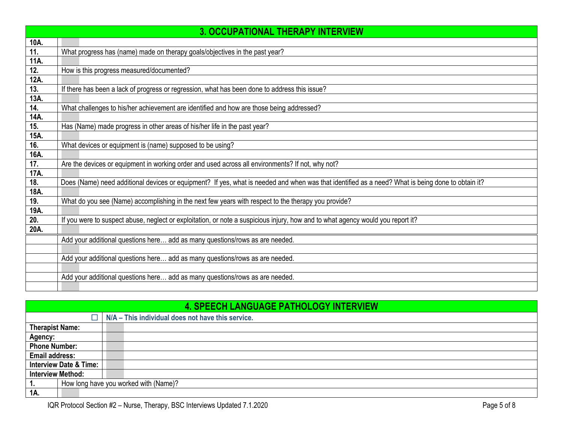|      | <b>3. OCCUPATIONAL THERAPY INTERVIEW</b>                                                                                                          |
|------|---------------------------------------------------------------------------------------------------------------------------------------------------|
| 10A. |                                                                                                                                                   |
| 11.  | What progress has (name) made on therapy goals/objectives in the past year?                                                                       |
| 11A. |                                                                                                                                                   |
| 12.  | How is this progress measured/documented?                                                                                                         |
| 12A. |                                                                                                                                                   |
| 13.  | If there has been a lack of progress or regression, what has been done to address this issue?                                                     |
| 13A. |                                                                                                                                                   |
| 14.  | What challenges to his/her achievement are identified and how are those being addressed?                                                          |
| 14A. |                                                                                                                                                   |
| 15.  | Has (Name) made progress in other areas of his/her life in the past year?                                                                         |
| 15A. |                                                                                                                                                   |
| 16.  | What devices or equipment is (name) supposed to be using?                                                                                         |
| 16A. |                                                                                                                                                   |
| 17.  | Are the devices or equipment in working order and used across all environments? If not, why not?                                                  |
| 17A. |                                                                                                                                                   |
| 18.  | Does (Name) need additional devices or equipment? If yes, what is needed and when was that identified as a need? What is being done to obtain it? |
| 18A. |                                                                                                                                                   |
| 19.  | What do you see (Name) accomplishing in the next few years with respect to the therapy you provide?                                               |
| 19A. |                                                                                                                                                   |
| 20.  | If you were to suspect abuse, neglect or exploitation, or note a suspicious injury, how and to what agency would you report it?                   |
| 20A. |                                                                                                                                                   |
|      | Add your additional questions here add as many questions/rows as are needed.                                                                      |
|      |                                                                                                                                                   |
|      | Add your additional questions here add as many questions/rows as are needed.                                                                      |
|      |                                                                                                                                                   |
|      | Add your additional questions here add as many questions/rows as are needed.                                                                      |
|      |                                                                                                                                                   |

## **4. SPEECH LANGUAGE PATHOLOGY INTERVIEW**

<span id="page-4-0"></span>

| <u>TI UI LLUII LANUUUAUL I ATIIULUU I INTLINTILII</u>  |                                                   |  |
|--------------------------------------------------------|---------------------------------------------------|--|
|                                                        | N/A - This individual does not have this service. |  |
| <b>Therapist Name:</b>                                 |                                                   |  |
| Agency:                                                |                                                   |  |
| <b>Phone Number:</b>                                   |                                                   |  |
| <b>Email address:</b>                                  |                                                   |  |
| <b>Interview Date &amp; Time:</b>                      |                                                   |  |
| <b>Interview Method:</b>                               |                                                   |  |
| How long have you worked with (Name)?<br>$^{\circ}$ 1. |                                                   |  |
| 1A.                                                    |                                                   |  |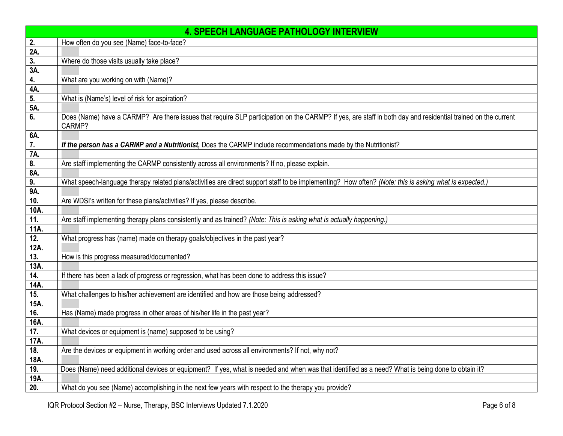|                   | <b>4. SPEECH LANGUAGE PATHOLOGY INTERVIEW</b>                                                                                                                          |
|-------------------|------------------------------------------------------------------------------------------------------------------------------------------------------------------------|
| 2.                | How often do you see (Name) face-to-face?                                                                                                                              |
| 2A.               |                                                                                                                                                                        |
| 3.                | Where do those visits usually take place?                                                                                                                              |
| 3A.               |                                                                                                                                                                        |
| 4.                | What are you working on with (Name)?                                                                                                                                   |
| 4A.               |                                                                                                                                                                        |
| 5.                | What is (Name's) level of risk for aspiration?                                                                                                                         |
| 5A.               |                                                                                                                                                                        |
| 6.                | Does (Name) have a CARMP? Are there issues that require SLP participation on the CARMP? If yes, are staff in both day and residential trained on the current<br>CARMP? |
| 6A.               |                                                                                                                                                                        |
| 7.                | If the person has a CARMP and a Nutritionist, Does the CARMP include recommendations made by the Nutritionist?                                                         |
| 7A.               |                                                                                                                                                                        |
| 8.                | Are staff implementing the CARMP consistently across all environments? If no, please explain.                                                                          |
| 8A.               |                                                                                                                                                                        |
| 9.                | What speech-language therapy related plans/activities are direct support staff to be implementing? How often? (Note: this is asking what is expected.)                 |
| 9A.               |                                                                                                                                                                        |
| 10.               | Are WDSI's written for these plans/activities? If yes, please describe.                                                                                                |
| 10A.              |                                                                                                                                                                        |
| 11.               | Are staff implementing therapy plans consistently and as trained? (Note: This is asking what is actually happening.)                                                   |
| 11A.              |                                                                                                                                                                        |
| 12.               | What progress has (name) made on therapy goals/objectives in the past year?                                                                                            |
| 12A.              |                                                                                                                                                                        |
| 13.               | How is this progress measured/documented?                                                                                                                              |
| 13A.              |                                                                                                                                                                        |
| 14.               | If there has been a lack of progress or regression, what has been done to address this issue?                                                                          |
| 14A.              |                                                                                                                                                                        |
| 15.               | What challenges to his/her achievement are identified and how are those being addressed?                                                                               |
| 15A.              |                                                                                                                                                                        |
| 16.               | Has (Name) made progress in other areas of his/her life in the past year?                                                                                              |
| 16A.              |                                                                                                                                                                        |
| $\overline{17}$ . | What devices or equipment is (name) supposed to be using?                                                                                                              |
| 17A.              |                                                                                                                                                                        |
| 18.               | Are the devices or equipment in working order and used across all environments? If not, why not?                                                                       |
| 18A.              |                                                                                                                                                                        |
| 19.               | Does (Name) need additional devices or equipment? If yes, what is needed and when was that identified as a need? What is being done to obtain it?                      |
| 19A.              |                                                                                                                                                                        |
| 20.               | What do you see (Name) accomplishing in the next few years with respect to the therapy you provide?                                                                    |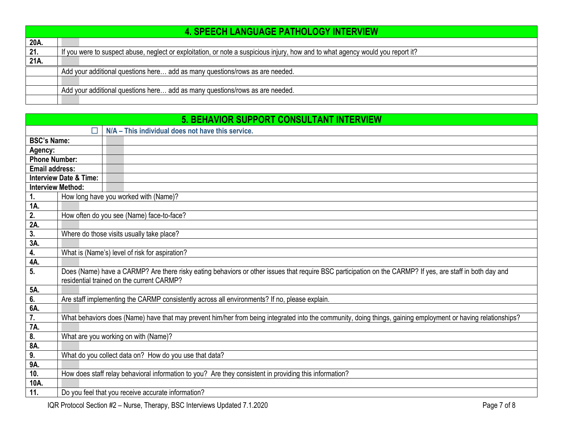|      | <b>4. SPEECH LANGUAGE PATHOLOGY INTERVIEW</b>                                                                                   |
|------|---------------------------------------------------------------------------------------------------------------------------------|
| 20A. |                                                                                                                                 |
| 21.  | If you were to suspect abuse, neglect or exploitation, or note a suspicious injury, how and to what agency would you report it? |
| 21A  |                                                                                                                                 |
|      | Add your additional questions here add as many questions/rows as are needed.                                                    |
|      |                                                                                                                                 |
|      | Add your additional questions here add as many questions/rows as are needed.                                                    |
|      |                                                                                                                                 |

<span id="page-6-0"></span>

| <b>5. BEHAVIOR SUPPORT CONSULTANT INTERVIEW</b> |                                   |                                                                                                                                                              |
|-------------------------------------------------|-----------------------------------|--------------------------------------------------------------------------------------------------------------------------------------------------------------|
|                                                 | П                                 | N/A - This individual does not have this service.                                                                                                            |
| <b>BSC's Name:</b>                              |                                   |                                                                                                                                                              |
| Agency:                                         |                                   |                                                                                                                                                              |
| <b>Phone Number:</b>                            |                                   |                                                                                                                                                              |
| <b>Email address:</b>                           |                                   |                                                                                                                                                              |
|                                                 | <b>Interview Date &amp; Time:</b> |                                                                                                                                                              |
| <b>Interview Method:</b>                        |                                   |                                                                                                                                                              |
| $\mathbf{1}$ .                                  |                                   | How long have you worked with (Name)?                                                                                                                        |
| 1A.                                             |                                   |                                                                                                                                                              |
| $\overline{2}$ .                                |                                   | How often do you see (Name) face-to-face?                                                                                                                    |
| 2A                                              |                                   |                                                                                                                                                              |
| 3.<br>3A.                                       |                                   | Where do those visits usually take place?                                                                                                                    |
| 4.                                              |                                   | What is (Name's) level of risk for aspiration?                                                                                                               |
| 4A                                              |                                   |                                                                                                                                                              |
| 5.                                              |                                   | Does (Name) have a CARMP? Are there risky eating behaviors or other issues that require BSC participation on the CARMP? If yes, are staff in both day and    |
|                                                 |                                   | residential trained on the current CARMP?                                                                                                                    |
| 5A.                                             |                                   |                                                                                                                                                              |
| 6.                                              |                                   | Are staff implementing the CARMP consistently across all environments? If no, please explain.                                                                |
| 6A.                                             |                                   |                                                                                                                                                              |
| $\overline{7}$ .                                |                                   | What behaviors does (Name) have that may prevent him/her from being integrated into the community, doing things, gaining employment or having relationships? |
| 7A.                                             |                                   |                                                                                                                                                              |
| 8.                                              |                                   | What are you working on with (Name)?                                                                                                                         |
| 8A.                                             |                                   |                                                                                                                                                              |
| 9.                                              |                                   | What do you collect data on? How do you use that data?                                                                                                       |
| 9A.                                             |                                   |                                                                                                                                                              |
| 10.                                             |                                   | How does staff relay behavioral information to you? Are they consistent in providing this information?                                                       |
| 10A.                                            |                                   |                                                                                                                                                              |
| 11.                                             |                                   | Do you feel that you receive accurate information?                                                                                                           |